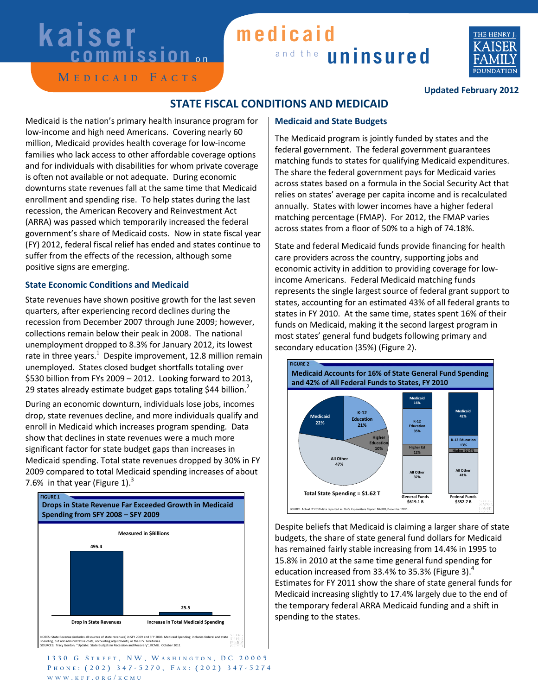# **kaiser**<br>commission

### and the **uninsured medicaid**



**M e d i c a i d F a c t s**

#### **Updated February 2012**

#### **STATE FISCAL CONDITIONS AND MEDICAID**

Medicaid is the nation's primary health insurance program for low-income and high need Americans. Covering nearly 60 million, Medicaid provides health coverage for low-income families who lack access to other affordable coverage options and for individuals with disabilities for whom private coverage is often not available or not adequate. During economic downturns state revenues fall at the same time that Medicaid enrollment and spending rise. To help states during the last recession, the American Recovery and Reinvestment Act (ARRA) was passed which temporarily increased the federal government's share of Medicaid costs. Now in state fiscal year (FY) 2012, federal fiscal relief has ended and states continue to suffer from the effects of the recession, although some positive signs are emerging.

#### **State Economic Conditions and Medicaid**

State revenues have shown positive growth for the last seven quarters, after experiencing record declines during the recession from December 2007 through June 2009; however, collections remain below their peak in 2008. The national unemployment dropped to 8.3% for January 2012, its lowest rate in three years.<sup>1</sup> Despite improvement, 12.8 million remain unemployed. States closed budget shortfalls totaling over \$530 billion from FYs 2009 – 2012. Looking forward to 2013, 29 states already estimate budget gaps totaling \$44 billion.<sup>2</sup>

During an economic downturn, individuals lose jobs, incomes drop, state revenues decline, and more individuals qualify and enroll in Medicaid which increases program spending. Data show that declines in state revenues were a much more significant factor for state budget gaps than increases in Medicaid spending. Total state revenues dropped by 30% in FY 2009 compared to total Medicaid spending increases of about 7.6% in that year (Figure 1). $3$ 



#### **Medicaid and State Budgets**

The Medicaid program is jointly funded by states and the federal government. The federal government guarantees matching funds to states for qualifying Medicaid expenditures. The share the federal government pays for Medicaid varies across states based on a formula in the Social Security Act that relies on states' average per capita income and is recalculated annually. States with lower incomes have a higher federal matching percentage (FMAP). For 2012, the FMAP varies across states from a floor of 50% to a high of 74.18%.

State and federal Medicaid funds provide financing for health care providers across the country, supporting jobs and economic activity in addition to providing coverage for lowincome Americans. Federal Medicaid matching funds represents the single largest source of federal grant support to states, accounting for an estimated 43% of all federal grants to states in FY 2010. At the same time, states spent 16% of their funds on Medicaid, making it the second largest program in most states' general fund budgets following primary and secondary education (35%) (Figure 2).



Despite beliefs that Medicaid is claiming a larger share of state budgets, the share of state general fund dollars for Medicaid has remained fairly stable increasing from 14.4% in 1995 to 15.8% in 2010 at the same time general fund spending for education increased from 33.4% to 35.3% (Figure 3). $^4$ Estimates for FY 2011 show the share of state general funds for Medicaid increasing slightly to 17.4% largely due to the end of the temporary federal ARRA Medicaid funding and a shift in spending to the states.